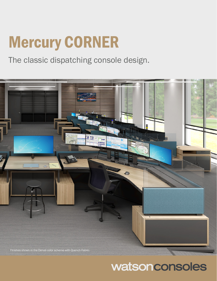# Mercury CORNER

The classic dispatching console design.



# watsonconsoles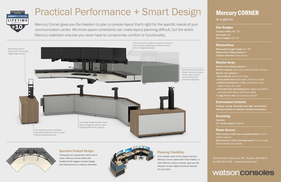26246 Twelve Trees Lane NW, Poulsbo, WA 98370 tel 360.394.1300 watsonconsoles.com

## watsonconsoles

#### Size Ranges:

Console widths: 48", 60" Hub depth: 39" Screen heights: 36"-60"

#### Worksurface:

Worksurface height range: 22"- 48" Worksurface lifting columns: 4 Collision detection: Piezo sensor

#### Monitor Array:

Monitor array lifting columns: 2 Monitor capacity: Up to two rows of five 24" monitors Monitor arm options: 5

- **Direct Mount: swivel, tilt, rotate**
- Focal Depth Arm: focal depth, swivel, tilt, rotate
- **Fully Articulating Arm: height articulation, focal** depth, swivel, tilt, rotate
- **Extended Fully Articulating Arm:** height articulation, extended focal depth, swivel, tilt, rotate
- **Large Format Arm:** for monitors over 40"

**Tackable** 12" acrylic toppers: Optional

#### Environment Controls:

Heating, cooling, dimmable task light, and ambient lighting available as optional, modular accessories.

#### Screening:

#### Power Access:

Above-surface 110V user-accessible power: Up to 4 outlets optional Below-surface 110V technology power: Two 10-outlet PDUs provided per console.

## Mercury CORNER

### at a glance

### Spacious Cockpit Design:

Putting all your equipment within arm's reach. Mercury Corner offers the traditional 90 degree console design that has become an industry standard.



## Planning Flexibility:

From theater style to the classic bull pen. Mercury Corner paired with Team Tables, or other Mercury linear consoles, give you the freedom to plan highly functional layouts for your team.



# Practical Performance + Smart Design

Mercury Corner gives you the freedom to plan a console layout that's right for the specific needs of your communication center. We know space constraints can make layout planning difficult, but the entire Mercury collection ensures you never have to compromise comfort or functionality.